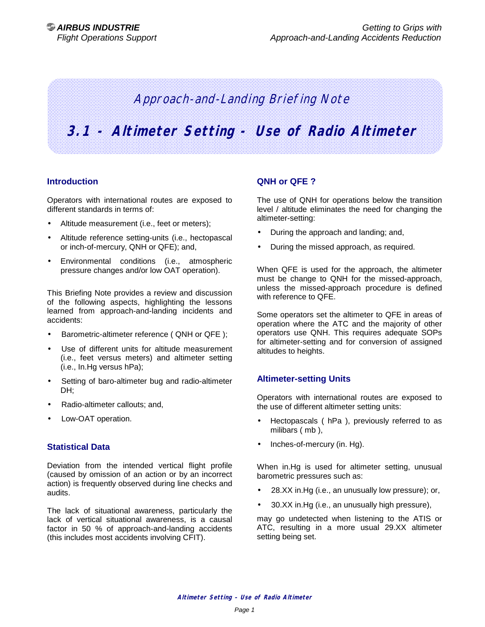# Approach-and-Landing Briefing Note

# **3.1 - Altimeter Setting - Use of Radio Altimeter**

#### **Introduction**

Operators with international routes are exposed to different standards in terms of:

- Altitude measurement (i.e., feet or meters);
- Altitude reference setting-units (i.e., hectopascal or inch-of-mercury, QNH or QFE); and,
- Environmental conditions (i.e., atmospheric pressure changes and/or low OAT operation).

This Briefing Note provides a review and discussion of the following aspects, highlighting the lessons learned from approach-and-landing incidents and accidents:

- Barometric-altimeter reference ( QNH or QFE );
- Use of different units for altitude measurement (i.e., feet versus meters) and altimeter setting (i.e., In.Hg versus hPa);
- Setting of baro-altimeter bug and radio-altimeter DH;
- Radio-altimeter callouts; and,
- Low-OAT operation.

#### **Statistical Data**

Deviation from the intended vertical flight profile (caused by omission of an action or by an incorrect action) is frequently observed during line checks and audits.

The lack of situational awareness, particularly the lack of vertical situational awareness, is a causal factor in 50 % of approach-and-landing accidents (this includes most accidents involving CFIT).

#### **QNH or QFE ?**

The use of QNH for operations below the transition level / altitude eliminates the need for changing the altimeter-setting:

- During the approach and landing; and,
- During the missed approach, as required.

When QFE is used for the approach, the altimeter must be change to QNH for the missed-approach, unless the missed-approach procedure is defined with reference to QFE.

Some operators set the altimeter to QFE in areas of operation where the ATC and the majority of other operators use QNH. This requires adequate SOPs for altimeter-setting and for conversion of assigned altitudes to heights.

# **Altimeter-setting Units**

Operators with international routes are exposed to the use of different altimeter setting units:

- Hectopascals ( hPa ), previously referred to as milibars ( mb ),
- Inches-of-mercury (in. Hg).

When in.Hg is used for altimeter setting, unusual barometric pressures such as:

- 28.XX in.Hg (i.e., an unusually low pressure); or,
- 30.XX in.Hg (i.e., an unusually high pressure),

may go undetected when listening to the ATIS or ATC, resulting in a more usual 29.XX altimeter setting being set.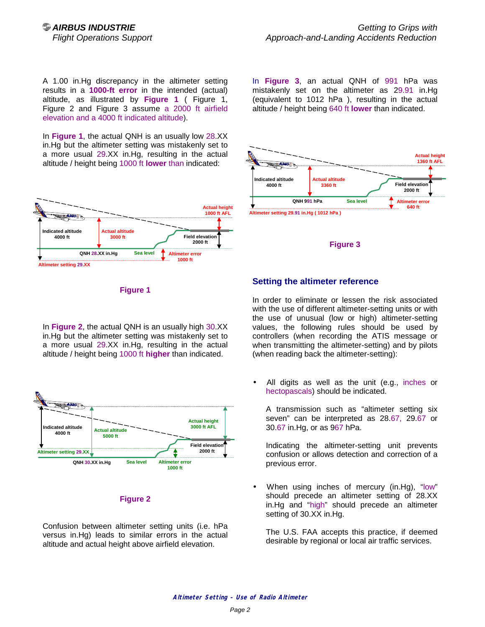A 1.00 in.Hg discrepancy in the altimeter setting results in a **1000-ft error** in the intended (actual) altitude, as illustrated by **Figure 1** ( Figure 1, Figure 2 and Figure 3 assume a 2000 ft airfield elevation and a 4000 ft indicated altitude).

In **Figure 1**, the actual QNH is an usually low 28.XX in.Hg but the altimeter setting was mistakenly set to a more usual 29.XX in.Hg, resulting in the actual altitude / height being 1000 ft **lower** than indicated:



In **Figure 3**, an actual QNH of 991 hPa was mistakenly set on the altimeter as 29.91 in.Hg (equivalent to 1012 hPa ), resulting in the actual altitude / height being 640 ft **lower** than indicated.





#### **Figure 1**

In **Figure 2**, the actual QNH is an usually high 30.XX in.Hg but the altimeter setting was mistakenly set to a more usual 29.XX in.Hg, resulting in the actual altitude / height being 1000 ft **higher** than indicated.



#### **Figure 2**

Confusion between altimeter setting units (i.e. hPa versus in.Hg) leads to similar errors in the actual altitude and actual height above airfield elevation.

### **Setting the altimeter reference**

In order to eliminate or lessen the risk associated with the use of different altimeter-setting units or with the use of unusual (low or high) altimeter-setting values, the following rules should be used by controllers (when recording the ATIS message or when transmitting the altimeter-setting) and by pilots (when reading back the altimeter-setting):

All digits as well as the unit (e.g., inches or hectopascals) should be indicated.

A transmission such as "altimeter setting six seven" can be interpreted as 28.67, 29.67 or 30.67 in.Hg, or as 967 hPa.

Indicating the altimeter-setting unit prevents confusion or allows detection and correction of a previous error.

• When using inches of mercury (in.Hg), "low" should precede an altimeter setting of 28.XX in.Hg and "high" should precede an altimeter setting of 30.XX in.Hg.

The U.S. FAA accepts this practice, if deemed desirable by regional or local air traffic services.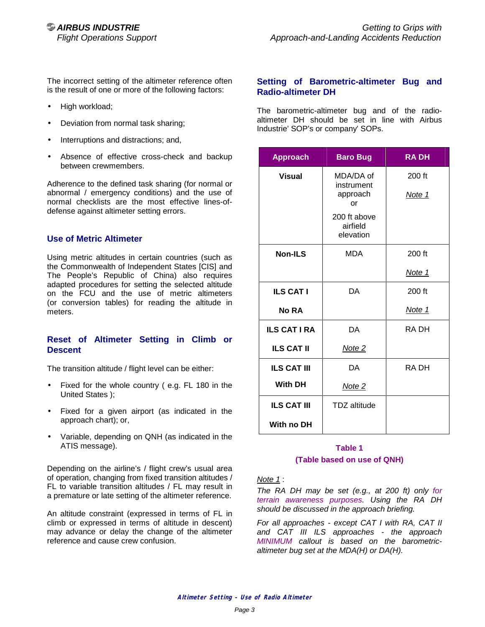The incorrect setting of the altimeter reference often is the result of one or more of the following factors:

- High workload;
- Deviation from normal task sharing;
- Interruptions and distractions; and,
- Absence of effective cross-check and backup between crewmembers.

Adherence to the defined task sharing (for normal or abnormal / emergency conditions) and the use of normal checklists are the most effective lines-ofdefense against altimeter setting errors.

### **Use of Metric Altimeter**

Using metric altitudes in certain countries (such as the Commonwealth of Independent States [CIS] and The People's Republic of China) also requires adapted procedures for setting the selected altitude on the FCU and the use of metric altimeters (or conversion tables) for reading the altitude in meters.

### **Reset of Altimeter Setting in Climb or Descent**

The transition altitude / flight level can be either:

- Fixed for the whole country ( e.g. FL 180 in the United States );
- Fixed for a given airport (as indicated in the approach chart); or,
- Variable, depending on QNH (as indicated in the ATIS message).

Depending on the airline's / flight crew's usual area of operation, changing from fixed transition altitudes / FL to variable transition altitudes / FL may result in a premature or late setting of the altimeter reference.

An altitude constraint (expressed in terms of FL in climb or expressed in terms of altitude in descent) may advance or delay the change of the altimeter reference and cause crew confusion.

#### **Setting of Barometric-altimeter Bug and Radio-altimeter DH**

The barometric-altimeter bug and of the radioaltimeter DH should be set in line with Airbus Industrie' SOP's or company' SOPs.

| <b>Approach</b>     | <b>Baro Bug</b>                           | <b>RADH</b>      |
|---------------------|-------------------------------------------|------------------|
| Visual              | MDA/DA of<br>instrument<br>approach<br>or | 200 ft<br>Note 1 |
|                     | 200 ft above<br>airfield<br>elevation     |                  |
| <b>Non-ILS</b>      | <b>MDA</b>                                | 200 ft           |
|                     |                                           | Note 1           |
| <b>ILS CAT I</b>    | DA                                        | 200 ft           |
| <b>No RA</b>        |                                           | Note 1           |
| <b>ILS CAT I RA</b> | DA                                        | RA DH            |
| <b>ILS CAT II</b>   | Note <sub>2</sub>                         |                  |
| <b>ILS CAT III</b>  | DA                                        | RA DH            |
| <b>With DH</b>      | Note 2                                    |                  |
| <b>ILS CAT III</b>  | TDZ altitude                              |                  |
| With no DH          |                                           |                  |

# **Table 1 (Table based on use of QNH)**

#### *Note 1* :

*The RA DH may be set (e.g., at 200 ft) only for terrain awareness purposes. Using the RA DH should be discussed in the approach briefing.* 

*For all approaches - except CAT I with RA, CAT II and CAT III ILS approaches - the approach MINIMUM callout is based on the barometricaltimeter bug set at the MDA(H) or DA(H).*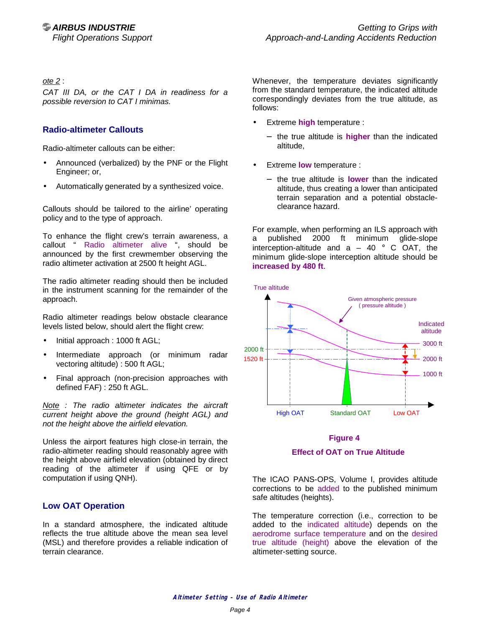*ote 2* :

*CAT III DA, or the CAT I DA in readiness for a possible reversion to CAT I minimas.* 

# **Radio-altimeter Callouts**

Radio-altimeter callouts can be either:

- Announced (verbalized) by the PNF or the Flight Engineer; or,
- Automatically generated by a synthesized voice.

Callouts should be tailored to the airline' operating policy and to the type of approach.

To enhance the flight crew's terrain awareness, a callout " Radio altimeter alive ", should be announced by the first crewmember observing the radio altimeter activation at 2500 ft height AGL.

The radio altimeter reading should then be included in the instrument scanning for the remainder of the approach.

Radio altimeter readings below obstacle clearance levels listed below, should alert the flight crew:

- Initial approach : 1000 ft AGL;
- Intermediate approach (or minimum radar vectoring altitude) : 500 ft AGL;
- Final approach (non-precision approaches with defined FAF) : 250 ft AGL.

*Note : The radio altimeter indicates the aircraft current height above the ground (height AGL) and not the height above the airfield elevation.* 

Unless the airport features high close-in terrain, the radio-altimeter reading should reasonably agree with the height above airfield elevation (obtained by direct reading of the altimeter if using QFE or by computation if using QNH).

# **Low OAT Operation**

In a standard atmosphere, the indicated altitude reflects the true altitude above the mean sea level (MSL) and therefore provides a reliable indication of terrain clearance.

Whenever, the temperature deviates significantly from the standard temperature, the indicated altitude correspondingly deviates from the true altitude, as follows:

- Extreme **high** temperature :
	- − the true altitude is **higher** than the indicated altitude,
- Extreme **low** temperature :
	- − the true altitude is **lower** than the indicated altitude, thus creating a lower than anticipated terrain separation and a potential obstacleclearance hazard.

For example, when performing an ILS approach with a published 2000 ft minimum glide-slope interception-altitude and  $a - 40$  ° C OAT, the minimum glide-slope interception altitude should be **increased by 480 ft**.



# **Figure 4 Effect of OAT on True Altitude**

The ICAO PANS-OPS, Volume I, provides altitude corrections to be added to the published minimum safe altitudes (heights).

The temperature correction (i.e., correction to be added to the indicated altitude) depends on the aerodrome surface temperature and on the desired true altitude (height) above the elevation of the altimeter-setting source.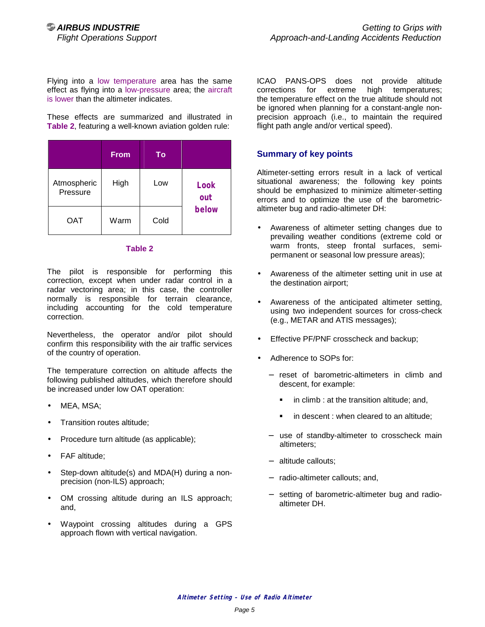Flying into a low temperature area has the same effect as flying into a low-pressure area; the aircraft is lower than the altimeter indicates.

These effects are summarized and illustrated in **Table 2**, featuring a well-known aviation golden rule:

|                         | <b>From</b> | To   |                             |
|-------------------------|-------------|------|-----------------------------|
| Atmospheric<br>Pressure | High        | Low  | <b>Look</b><br>out<br>below |
| OAT                     | Warm        | Cold |                             |

#### **Table 2**

The pilot is responsible for performing this correction, except when under radar control in a radar vectoring area; in this case, the controller normally is responsible for terrain clearance, including accounting for the cold temperature correction.

Nevertheless, the operator and/or pilot should confirm this responsibility with the air traffic services of the country of operation.

The temperature correction on altitude affects the following published altitudes, which therefore should be increased under low OAT operation:

- MEA, MSA;
- Transition routes altitude;
- Procedure turn altitude (as applicable);
- FAF altitude;
- Step-down altitude(s) and MDA(H) during a nonprecision (non-ILS) approach;
- OM crossing altitude during an ILS approach; and,
- Waypoint crossing altitudes during a GPS approach flown with vertical navigation.

ICAO PANS-OPS does not provide altitude corrections for extreme high temperatures; the temperature effect on the true altitude should not be ignored when planning for a constant-angle nonprecision approach (i.e., to maintain the required flight path angle and/or vertical speed).

### **Summary of key points**

Altimeter-setting errors result in a lack of vertical situational awareness; the following key points should be emphasized to minimize altimeter-setting errors and to optimize the use of the barometricaltimeter bug and radio-altimeter DH:

- Awareness of altimeter setting changes due to prevailing weather conditions (extreme cold or warm fronts, steep frontal surfaces, semipermanent or seasonal low pressure areas);
- Awareness of the altimeter setting unit in use at the destination airport;
- Awareness of the anticipated altimeter setting, using two independent sources for cross-check (e.g., METAR and ATIS messages);
- Effective PF/PNF crosscheck and backup;
- Adherence to SOPs for:
	- − reset of barometric-altimeters in climb and descent, for example:
		- in climb : at the transition altitude; and,
		- in descent : when cleared to an altitude;
	- − use of standby-altimeter to crosscheck main altimeters;
	- − altitude callouts;
	- − radio-altimeter callouts; and,
	- − setting of barometric-altimeter bug and radioaltimeter DH.